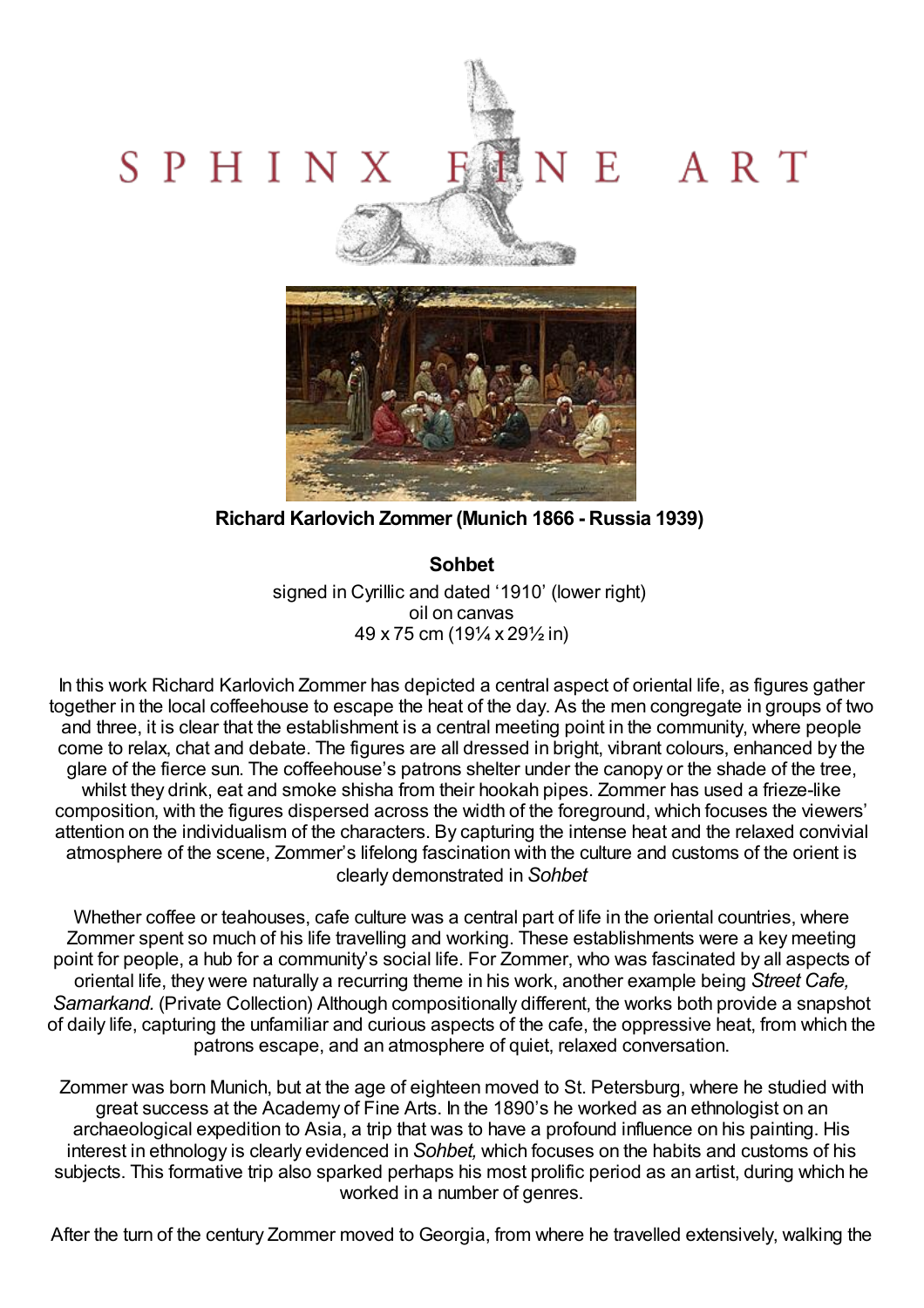## E ART SPHINX



**Richard Karlovich Zommer (Munich 1866 - Russia 1939)**

**Sohbet** signed in Cyrillic and dated '1910' (lower right) oil on canvas 49 x 75 cm (19¼ x 29½ in)

In this work Richard Karlovich Zommer has depicted a central aspect of oriental life, as figures gather together in the local coffeehouse to escape the heat of the day. As the men congregate in groups of two and three, it is clear that the establishment is a central meeting point in the community, where people come to relax, chat and debate. The figures are all dressed in bright, vibrant colours, enhanced by the glare of the fierce sun. The coffeehouse's patrons shelter under the canopy or the shade of the tree, whilst they drink, eat and smoke shisha from their hookah pipes. Zommer has used a frieze-like composition, with the figures dispersed across the width of the foreground, which focuses the viewers' attention on the individualism of the characters. By capturing the intense heat and the relaxed convivial atmosphere of the scene, Zommer's lifelong fascination with the culture and customs of the orient is clearly demonstrated in *Sohbet*

Whether coffee or teahouses, cafe culture was a central part of life in the oriental countries, where Zommer spent so much of his life travelling and working. These establishments were a key meeting point for people, a hub for a community's social life. For Zommer, who was fascinated by all aspects of oriental life, they were naturally a recurring theme in his work, another example being *Street Cafe, Samarkand.* (Private Collection) Although compositionally different, the works both provide a snapshot of daily life, capturing the unfamiliar and curious aspects of the cafe, the oppressive heat, from which the patrons escape, and an atmosphere of quiet, relaxed conversation.

Zommer was born Munich, but at the age of eighteen moved to St. Petersburg, where he studied with great success at the Academy of Fine Arts. In the 1890's he worked as an ethnologist on an archaeological expedition to Asia, a trip that was to have a profound influence on his painting. His interest in ethnology is clearly evidenced in *Sohbet,* which focuses on the habits and customs of his subjects. This formative trip also sparked perhaps his most prolific period as an artist, during which he worked in a number of genres.

After the turn of the century Zommer moved to Georgia, from where he travelled extensively, walking the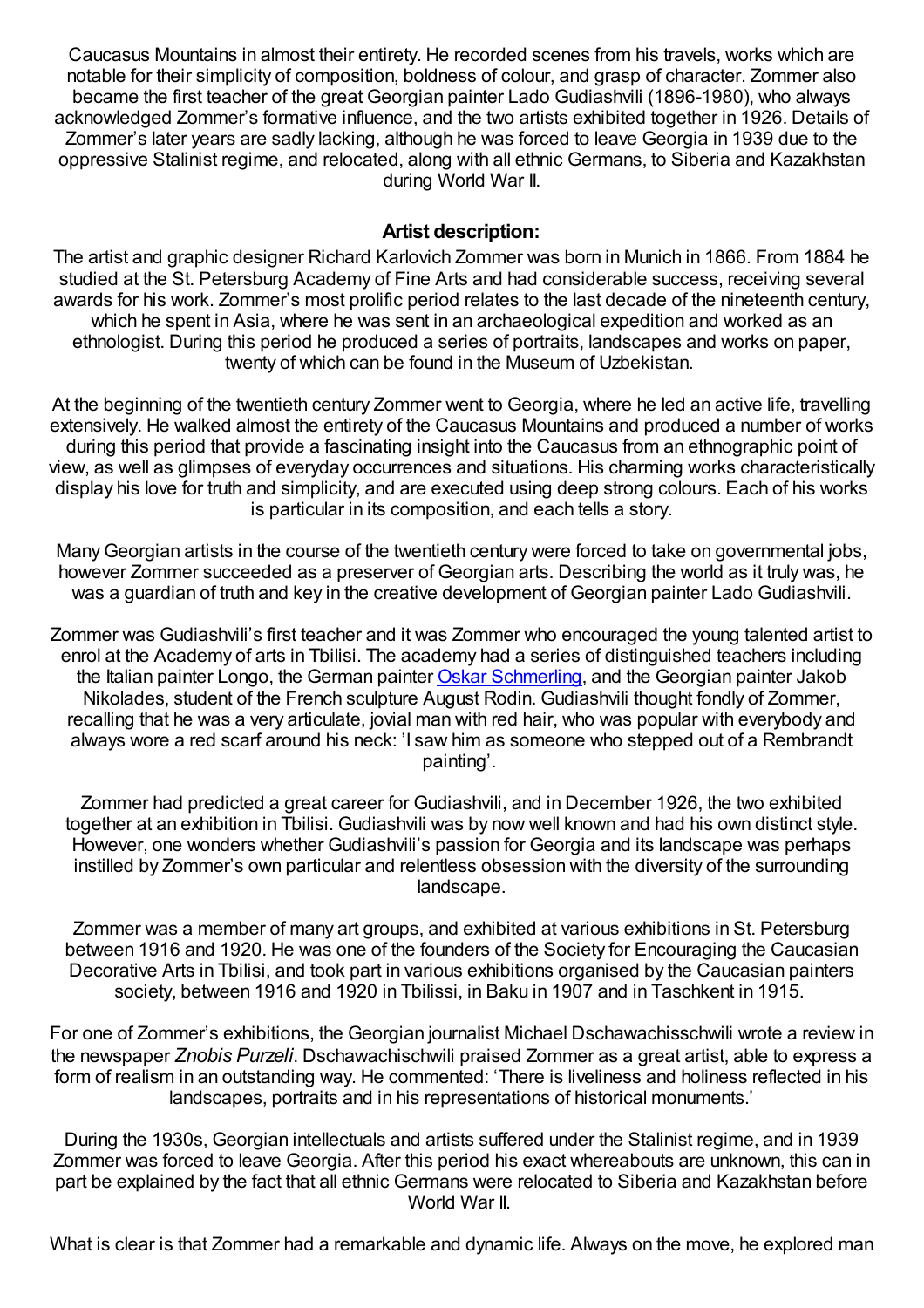Caucasus Mountains in almost their entirety. He recorded scenes from his travels, works which are notable for their simplicity of composition, boldness of colour, and grasp of character. Zommer also became the first teacher of the great Georgian painter Lado Gudiashvili (1896-1980), who always acknowledged Zommer's formative influence, and the two artists exhibited together in 1926. Details of Zommer's later years are sadly lacking, although he was forced to leave Georgia in 1939 due to the oppressive Stalinist regime, and relocated, along with all ethnic Germans, to Siberia and Kazakhstan during World War II.

## **Artist description:**

The artist and graphic designer Richard Karlovich Zommer was born in Munich in 1866. From 1884 he studied at the St. Petersburg Academy of Fine Arts and had considerable success, receiving several awards for his work. Zommer's most prolific period relates to the last decade of the nineteenth century, which he spent in Asia, where he was sent in an archaeological expedition and worked as an ethnologist. During this period he produced a series of portraits, landscapes and works on paper, twenty of which can be found in the Museum of Uzbekistan.

At the beginning of the twentieth century Zommer went to Georgia, where he led an active life, travelling extensively. He walked almost the entirety of the Caucasus Mountains and produced a number of works during this period that provide a fascinating insight into the Caucasus from an ethnographic point of view, as well as glimpses of everyday occurrences and situations. His charming works characteristically display his love for truth and simplicity, and are executed using deep strong colours. Each of his works is particular in its composition, and each tells a story.

ManyGeorgian artists in the course of the twentieth century were forced to take on governmental jobs, however Zommer succeeded as a preserver of Georgian arts. Describing the world as it truly was, he was a guardian of truth and key in the creative development of Georgian painter Lado Gudiashvili.

Zommer was Gudiashvili's first teacher and it was Zommer who encouraged the young talented artist to enrol at the Academy of arts in Tbilisi. The academy had a series of distinguished teachers including the Italian painter Longo, the German painter Oskar [Schmerling,](http://www.sphinxfineart.com/Schmerling-Oskar-DesktopDefault.aspx?tabid=45&tabindex=44&artistid=36584) and the Georgian painter Jakob Nikolades, student of the French sculpture August Rodin. Gudiashvili thought fondly of Zommer, recalling that he was a very articulate, jovial man with red hair, who was popular with everybody and always wore a red scarf around his neck: 'I saw him as someone who stepped out of a Rembrandt painting'.

Zommer had predicted a great career for Gudiashvili, and in December 1926, the two exhibited together at an exhibition in Tbilisi. Gudiashvili was by now well known and had his own distinct style. However, one wonders whether Gudiashvili's passion for Georgia and its landscape was perhaps instilled by Zommer's own particular and relentless obsession with the diversity of the surrounding landscape.

Zommer was a member of many art groups, and exhibited at various exhibitions in St. Petersburg between 1916 and 1920. He was one of the founders of the Society for Encouraging the Caucasian Decorative Arts in Tbilisi, and took part in various exhibitions organised by the Caucasian painters society, between 1916 and 1920 in Tbilissi, in Baku in 1907 and in Taschkent in 1915.

For one of Zommer's exhibitions, the Georgian journalist Michael Dschawachisschwili wrote a review in the newspaper *Znobis Purzeli*. Dschawachischwili praised Zommer as a great artist, able to express a form of realism in an outstanding way. He commented: 'There is liveliness and holiness reflected in his landscapes, portraits and in his representations of historical monuments.'

During the 1930s, Georgian intellectuals and artists suffered under the Stalinist regime, and in 1939 Zommer was forced to leave Georgia. After this period his exact whereabouts are unknown, this can in part be explained by the fact that all ethnic Germans were relocated to Siberia and Kazakhstan before World War II.

What is clear is that Zommer had a remarkable and dynamic life. Always on the move, he explored man